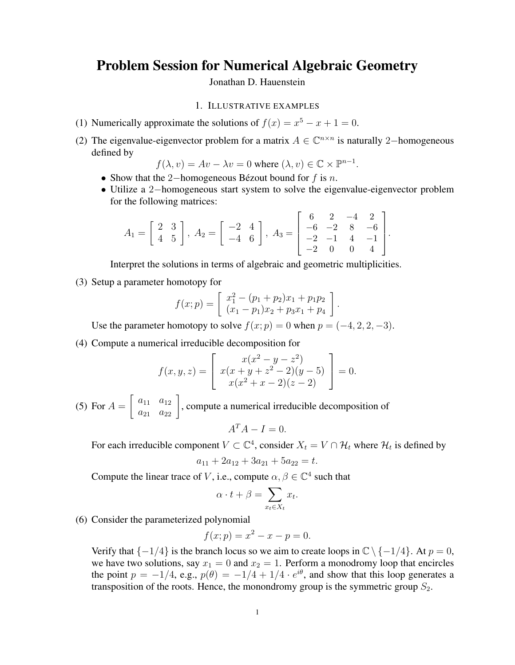# Problem Session for Numerical Algebraic Geometry

Jonathan D. Hauenstein

### 1. ILLUSTRATIVE EXAMPLES

- (1) Numerically approximate the solutions of  $f(x) = x^5 x + 1 = 0$ .
- (2) The eigenvalue-eigenvector problem for a matrix  $A \in \mathbb{C}^{n \times n}$  is naturally 2-homogeneous defined by

$$
f(\lambda, v) = Av - \lambda v = 0
$$
 where  $(\lambda, v) \in \mathbb{C} \times \mathbb{P}^{n-1}$ .

- Show that the 2−homogeneous Bézout bound for  $f$  is  $n$ .
- Utilize a 2−homogeneous start system to solve the eigenvalue-eigenvector problem for the following matrices:

$$
A_1 = \begin{bmatrix} 2 & 3 \\ 4 & 5 \end{bmatrix}, A_2 = \begin{bmatrix} -2 & 4 \\ -4 & 6 \end{bmatrix}, A_3 = \begin{bmatrix} 6 & 2 & -4 & 2 \\ -6 & -2 & 8 & -6 \\ -2 & -1 & 4 & -1 \\ -2 & 0 & 0 & 4 \end{bmatrix}.
$$

Interpret the solutions in terms of algebraic and geometric multiplicities.

(3) Setup a parameter homotopy for

$$
f(x; p) = \begin{bmatrix} x_1^2 - (p_1 + p_2)x_1 + p_1p_2 \ (x_1 - p_1)x_2 + p_3x_1 + p_4 \end{bmatrix}.
$$

Use the parameter homotopy to solve  $f(x; p) = 0$  when  $p = (-4, 2, 2, -3)$ .

(4) Compute a numerical irreducible decomposition for

$$
f(x, y, z) = \begin{bmatrix} x(x^2 - y - z^2) \\ x(x + y + z^2 - 2)(y - 5) \\ x(x^2 + x - 2)(z - 2) \end{bmatrix} = 0.
$$

 $(5)$  For  $A =$  $\begin{bmatrix} a_{11} & a_{12} \\ a_{21} & a_{22} \end{bmatrix}$ , compute a numerical irreducible decomposition of

$$
A^T A - I = 0.
$$

For each irreducible component  $V \subset \mathbb{C}^4$ , consider  $X_t = V \cap \mathcal{H}_t$  where  $\mathcal{H}_t$  is defined by

$$
a_{11} + 2a_{12} + 3a_{21} + 5a_{22} = t.
$$

Compute the linear trace of V, i.e., compute  $\alpha, \beta \in \mathbb{C}^4$  such that

$$
\alpha \cdot t + \beta = \sum_{x_t \in X_t} x_t.
$$

(6) Consider the parameterized polynomial

$$
f(x; p) = x^2 - x - p = 0.
$$

Verify that  $\{-1/4\}$  is the branch locus so we aim to create loops in  $\mathbb{C} \setminus \{-1/4\}$ . At  $p = 0$ , we have two solutions, say  $x_1 = 0$  and  $x_2 = 1$ . Perform a monodromy loop that encircles the point  $p = -1/4$ , e.g.,  $p(\theta) = -1/4 + 1/4 \cdot e^{i\theta}$ , and show that this loop generates a transposition of the roots. Hence, the monondromy group is the symmetric group  $S_2$ .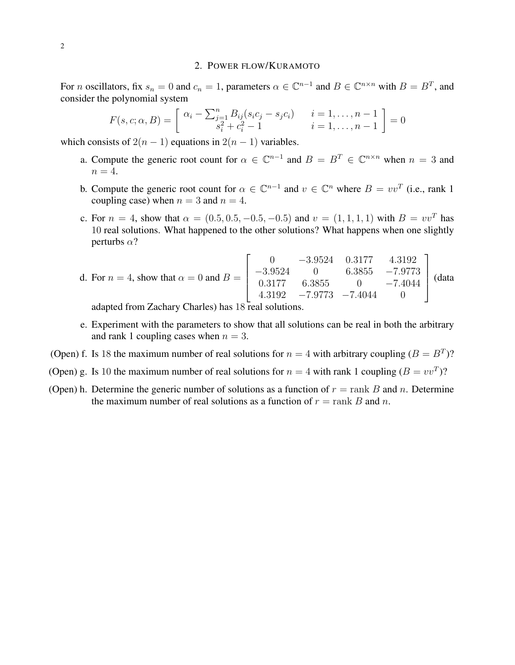# 2. POWER FLOW/KURAMOTO

For *n* oscillators, fix  $s_n = 0$  and  $c_n = 1$ , parameters  $\alpha \in \mathbb{C}^{n-1}$  and  $B \in \mathbb{C}^{n \times n}$  with  $B = B^T$ , and consider the polynomial system

$$
F(s, c; \alpha, B) = \begin{bmatrix} \alpha_i - \sum_{\substack{j=1 \ j_i \ j_i \ k_i \neq j}}^n B_{ij}(s_i c_j - s_j c_i) & i = 1, \dots, n-1 \\ s_i^2 + c_i^2 - 1 & i = 1, \dots, n-1 \end{bmatrix} = 0
$$

which consists of  $2(n - 1)$  equations in  $2(n - 1)$  variables.

- a. Compute the generic root count for  $\alpha \in \mathbb{C}^{n-1}$  and  $B = B^T \in \mathbb{C}^{n \times n}$  when  $n = 3$  and  $n = 4$ .
- b. Compute the generic root count for  $\alpha \in \mathbb{C}^{n-1}$  and  $v \in \mathbb{C}^n$  where  $B = vv^T$  (i.e., rank 1 coupling case) when  $n = 3$  and  $n = 4$ .
- c. For  $n = 4$ , show that  $\alpha = (0.5, 0.5, -0.5, -0.5)$  and  $v = (1, 1, 1, 1)$  with  $B = vv<sup>T</sup>$  has 10 real solutions. What happened to the other solutions? What happens when one slightly perturbs  $\alpha$ ?

d. For 
$$
n = 4
$$
, show that  $\alpha = 0$  and  $B = \begin{bmatrix} 0 & -3.9524 & 0.3177 & 4.3192 \\ -3.9524 & 0 & 6.3855 & -7.9773 \\ 0.3177 & 6.3855 & 0 & -7.4044 \\ 4.3192 & -7.9773 & -7.4044 & 0 \end{bmatrix}$  (data

adapted from Zachary Charles) has 18 real solutions.

- e. Experiment with the parameters to show that all solutions can be real in both the arbitrary and rank 1 coupling cases when  $n = 3$ .
- (Open) f. Is 18 the maximum number of real solutions for  $n = 4$  with arbitrary coupling  $(B = B<sup>T</sup>)$ ?
- (Open) g. Is 10 the maximum number of real solutions for  $n = 4$  with rank 1 coupling  $(B = v v^T)$ ?
- (Open) h. Determine the generic number of solutions as a function of  $r = \text{rank } B$  and n. Determine the maximum number of real solutions as a function of  $r = \text{rank } B$  and n.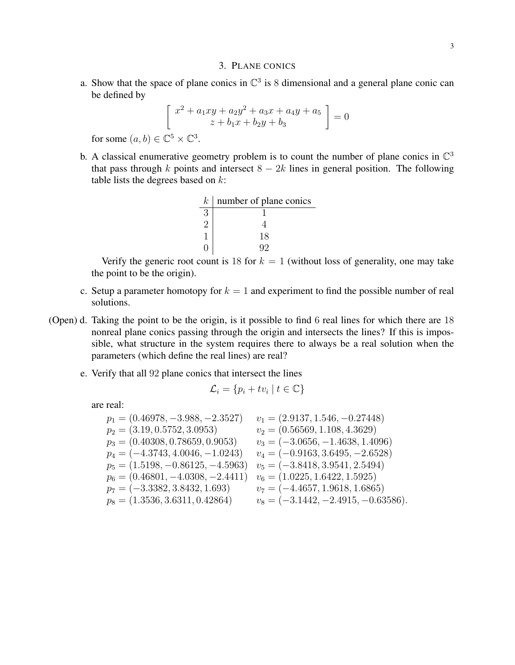#### 3. PLANE CONICS

a. Show that the space of plane conics in  $\mathbb{C}^3$  is 8 dimensional and a general plane conic can be defined by

$$
\begin{bmatrix}\nx^2 + a_1xy + a_2y^2 + a_3x + a_4y + a_5 \\
z + b_1x + b_2y + b_3\n\end{bmatrix} = 0
$$

for some  $(a, b) \in \mathbb{C}^5 \times \mathbb{C}^3$ .

b. A classical enumerative geometry problem is to count the number of plane conics in  $\mathbb{C}^3$ that pass through k points and intersect  $8 - 2k$  lines in general position. The following table lists the degrees based on  $k$ :

| $k_{\parallel}$ | number of plane conics |
|-----------------|------------------------|
| 3               |                        |
|                 |                        |
|                 | 18                     |
|                 | Q9                     |

Verify the generic root count is 18 for  $k = 1$  (without loss of generality, one may take the point to be the origin).

- c. Setup a parameter homotopy for  $k = 1$  and experiment to find the possible number of real solutions.
- (Open) d. Taking the point to be the origin, is it possible to find 6 real lines for which there are 18 nonreal plane conics passing through the origin and intersects the lines? If this is impossible, what structure in the system requires there to always be a real solution when the parameters (which define the real lines) are real?
	- e. Verify that all 92 plane conics that intersect the lines

$$
\mathcal{L}_i = \{ p_i + tv_i \mid t \in \mathbb{C} \}
$$

are real:

| $p_1 = (0.46978, -3.988, -2.3527)$  | $v_1 = (2.9137, 1.546, -0.27448)$     |
|-------------------------------------|---------------------------------------|
| $p_2 = (3.19, 0.5752, 3.0953)$      | $v_2 = (0.56569, 1.108, 4.3629)$      |
| $p_3 = (0.40308, 0.78659, 0.9053)$  | $v_3 = (-3.0656, -1.4638, 1.4096)$    |
| $p_4 = (-4.3743, 4.0046, -1.0243)$  | $v_4 = (-0.9163, 3.6495, -2.6528)$    |
| $p_5 = (1.5198, -0.86125, -4.5963)$ | $v_5 = (-3.8418, 3.9541, 2.5494)$     |
| $p_6 = (0.46801, -4.0308, -2.4411)$ | $v_6 = (1.0225, 1.6422, 1.5925)$      |
| $p_7 = (-3.3382, 3.8432, 1.693)$    | $v_7 = (-4.4657, 1.9618, 1.6865)$     |
| $p_8 = (1.3536, 3.6311, 0.42864)$   | $v_8 = (-3.1442, -2.4915, -0.63586).$ |
|                                     |                                       |